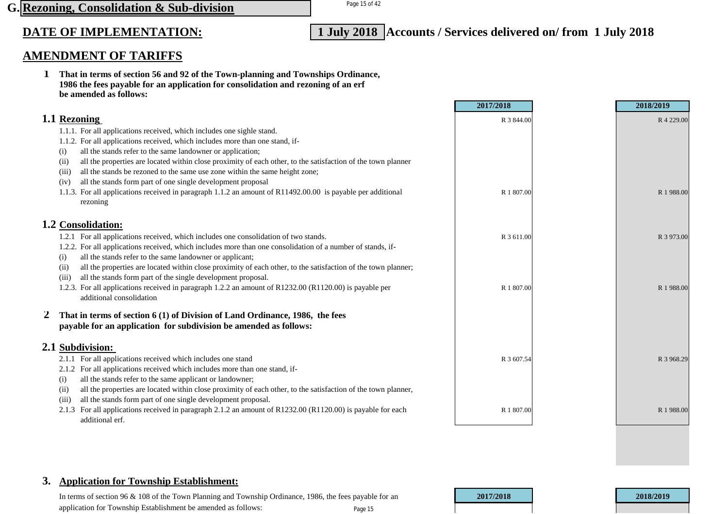## Page 15 of 42 **G. Rezoning, Consolidation & Sub-division**

# **DATE OF IMPLEMENTATION: 1 July 2018 Accounts / Services delivered on/ from 1 July 2018**

## **AMENDMENT OF TARIFFS**

**1 That in terms of section 56 and 92 of the Town-planning and Townships Ordinance, 1986 the fees payable for an application for consolidation and rezoning of an erf be amended as follows:**

|                                                                                                                                                                                                                                                                                                                                                                                                                                                                                                                                                                                                                                                                | 2017/2018                | 2018/2019               |
|----------------------------------------------------------------------------------------------------------------------------------------------------------------------------------------------------------------------------------------------------------------------------------------------------------------------------------------------------------------------------------------------------------------------------------------------------------------------------------------------------------------------------------------------------------------------------------------------------------------------------------------------------------------|--------------------------|-------------------------|
| 1.1 Rezoning<br>1.1.1. For all applications received, which includes one sighle stand.<br>1.1.2. For all applications received, which includes more than one stand, if-<br>all the stands refer to the same landowner or application;<br>(i)<br>all the properties are located within close proximity of each other, to the satisfaction of the town planner<br>(ii)<br>all the stands be rezoned to the same use zone within the same height zone;<br>(111)<br>all the stands form part of one single development proposal<br>(iv)<br>1.1.3. For all applications received in paragraph 1.1.2 an amount of R11492.00.00 is payable per additional<br>rezoning | R 3 844.00<br>R 1 807.00 | R 4 229.00<br>R 1988.00 |
| 1.2 Consolidation:                                                                                                                                                                                                                                                                                                                                                                                                                                                                                                                                                                                                                                             |                          |                         |
| 1.2.1 For all applications received, which includes one consolidation of two stands.<br>1.2.2. For all applications received, which includes more than one consolidation of a number of stands, if-<br>all the stands refer to the same landowner or applicant;<br>(i)<br>all the properties are located within close proximity of each other, to the satisfaction of the town planner;<br>(ii)<br>all the stands form part of the single development proposal.<br>(iii)<br>1.2.3. For all applications received in paragraph 1.2.2 an amount of R1232.00 (R1120.00) is payable per                                                                            | R 3 611.00<br>R 1 807.00 | R 3 973.00<br>R 1988.00 |
| additional consolidation                                                                                                                                                                                                                                                                                                                                                                                                                                                                                                                                                                                                                                       |                          |                         |
| That in terms of section 6 (1) of Division of Land Ordinance, 1986, the fees<br>payable for an application for subdivision be amended as follows:                                                                                                                                                                                                                                                                                                                                                                                                                                                                                                              |                          |                         |
| 2.1 Subdivision:                                                                                                                                                                                                                                                                                                                                                                                                                                                                                                                                                                                                                                               |                          |                         |
| For all applications received which includes one stand<br>For all applications received which includes more than one stand, if-<br>2.1.2<br>all the stands refer to the same applicant or landowner;<br>(i)<br>all the properties are located within close proximity of each other, to the satisfaction of the town planner,<br>(i)<br>all the stands form part of one single development proposal.<br>(111)                                                                                                                                                                                                                                                   | R 3 607.54               | R 3 968.29              |
| For all applications received in paragraph 2.1.2 an amount of R1232.00 (R1120.00) is payable for each<br>2.1.3<br>additional erf.                                                                                                                                                                                                                                                                                                                                                                                                                                                                                                                              | R 1 807.00               | R 1988.00               |

## **3. Application for Township Establishment:**

In terms of section 96 & 108 of the Town Planning and Township Ordinance, 1986, the fees payable for an **2017/2018 2018/2019** application for Township Establishment be amended as follows: Page 15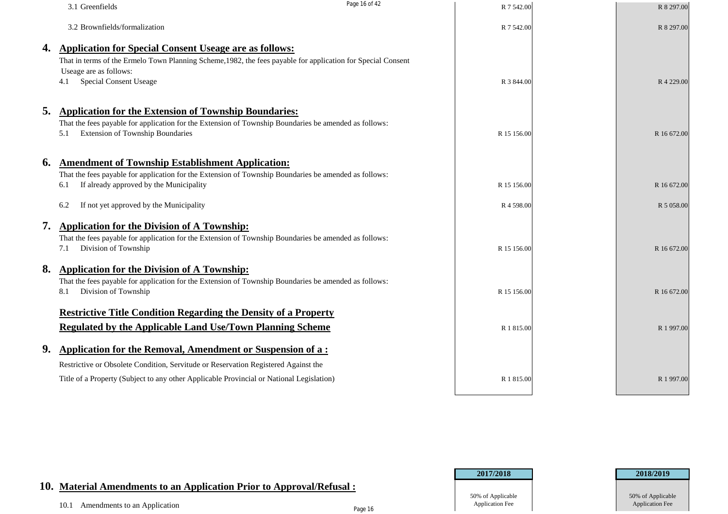|    | 3.1 Greenfields                                                                                                                                                                                                                          | Page 16 of 42 | R 7 542.00  | R 8 297.00  |
|----|------------------------------------------------------------------------------------------------------------------------------------------------------------------------------------------------------------------------------------------|---------------|-------------|-------------|
|    | 3.2 Brownfields/formalization                                                                                                                                                                                                            |               | R 7 542.00  | R 8 297.00  |
| 4. | <b>Application for Special Consent Useage are as follows:</b><br>That in terms of the Ermelo Town Planning Scheme, 1982, the fees payable for application for Special Consent<br>Useage are as follows:<br><b>Special Consent Useage</b> |               | R 3 844.00  | R 4 229.00  |
| 5. | <b>Application for the Extension of Township Boundaries:</b><br>That the fees payable for application for the Extension of Township Boundaries be amended as follows:<br><b>Extension of Township Boundaries</b><br>5.1                  |               | R 15 156.00 | R 16 672.00 |
| 6. | <b>Amendment of Township Establishment Application:</b><br>That the fees payable for application for the Extension of Township Boundaries be amended as follows:<br>If already approved by the Municipality<br>6.1                       |               | R 15 156.00 | R 16 672.00 |
|    | If not yet approved by the Municipality<br>6.2                                                                                                                                                                                           |               | R 4 598.00  | R 5 058.00  |
| 7. | <b>Application for the Division of A Township:</b><br>That the fees payable for application for the Extension of Township Boundaries be amended as follows:<br>Division of Township<br>7.1                                               |               | R 15 156.00 | R 16 672.00 |
| 8. | <b>Application for the Division of A Township:</b><br>That the fees payable for application for the Extension of Township Boundaries be amended as follows:<br>Division of Township<br>8.1                                               |               | R 15 156.00 | R 16 672.00 |
|    | <b>Restrictive Title Condition Regarding the Density of a Property</b>                                                                                                                                                                   |               |             |             |
|    | <b>Regulated by the Applicable Land Use/Town Planning Scheme</b>                                                                                                                                                                         |               | R 1 815.00  | R 1 997.00  |
| 9. | <b>Application for the Removal, Amendment or Suspension of a:</b><br>Restrictive or Obsolete Condition, Servitude or Reservation Registered Against the                                                                                  |               |             |             |
|    | Title of a Property (Subject to any other Applicable Provincial or National Legislation)                                                                                                                                                 |               | R 1 815.00  | R 1997.00   |

## **10. Material Amendments to an Application Prior to Approval/Refusal :**

| 50% of Applicable      |
|------------------------|
| <b>Application Fee</b> |



Page 16